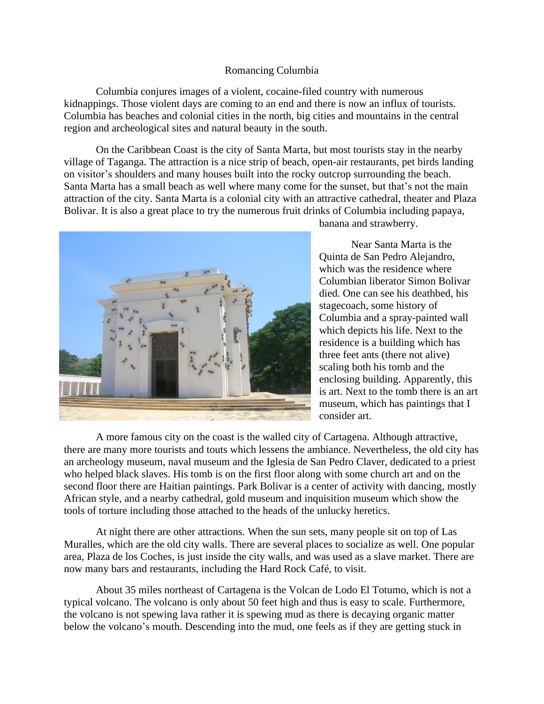## Romancing Columbia

Columbia conjures images of a violent, cocaine-filed country with numerous kidnappings. Those violent days are coming to an end and there is now an influx of tourists. Columbia has beaches and colonial cities in the north, big cities and mountains in the central region and archeological sites and natural beauty in the south.

On the Caribbean Coast is the city of Santa Marta, but most tourists stay in the nearby village of Taganga. The attraction is a nice strip of beach, open-air restaurants, pet birds landing on visitor's shoulders and many houses built into the rocky outcrop surrounding the beach. Santa Marta has a small beach as well where many come for the sunset, but that's not the main attraction of the city. Santa Marta is a colonial city with an attractive cathedral, theater and Plaza Bolivar. It is also a great place to try the numerous fruit drinks of Columbia including papaya,



banana and strawberry.

Near Santa Marta is the Quinta de San Pedro Alejandro, which was the residence where Columbian liberator Simon Bolivar died. One can see his deathbed, his stagecoach, some history of Columbia and a spray-painted wall which depicts his life. Next to the residence is a building which has three feet ants (there not alive) scaling both his tomb and the enclosing building. Apparently, this is art. Next to the tomb there is an art museum, which has paintings that I consider art.

A more famous city on the coast is the walled city of Cartagena. Although attractive, there are many more tourists and touts which lessens the ambiance. Nevertheless, the old city has an archeology museum, naval museum and the Iglesia de San Pedro Claver, dedicated to a priest who helped black slaves. His tomb is on the first floor along with some church art and on the second floor there are Haitian paintings. Park Bolivar is a center of activity with dancing, mostly African style, and a nearby cathedral, gold museum and inquisition museum which show the tools of torture including those attached to the heads of the unlucky heretics.

At night there are other attractions. When the sun sets, many people sit on top of Las Muralles, which are the old city walls. There are several places to socialize as well. One popular area, Plaza de los Coches, is just inside the city walls, and was used as a slave market. There are now many bars and restaurants, including the Hard Rock Café, to visit.

About 35 miles northeast of Cartagena is the Volcan de Lodo El Totumo, which is not a typical volcano. The volcano is only about 50 feet high and thus is easy to scale. Furthermore, the volcano is not spewing lava rather it is spewing mud as there is decaying organic matter below the volcano's mouth. Descending into the mud, one feels as if they are getting stuck in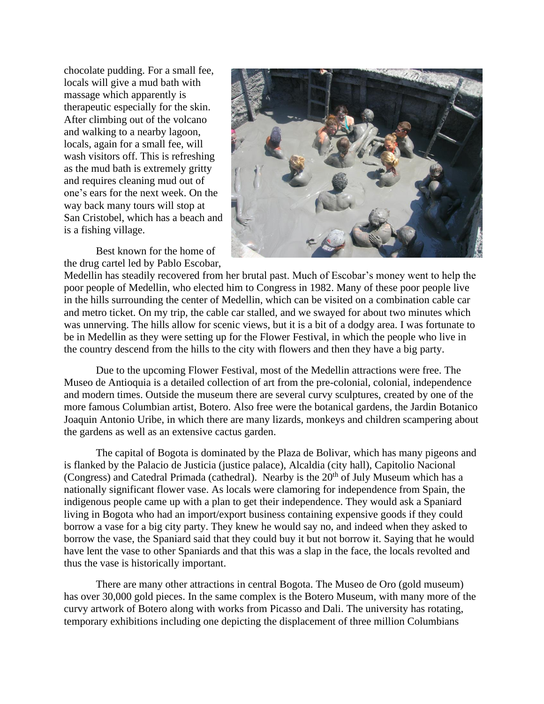chocolate pudding. For a small fee, locals will give a mud bath with massage which apparently is therapeutic especially for the skin. After climbing out of the volcano and walking to a nearby lagoon, locals, again for a small fee, will wash visitors off. This is refreshing as the mud bath is extremely gritty and requires cleaning mud out of one's ears for the next week. On the way back many tours will stop at San Cristobel, which has a beach and is a fishing village.

Best known for the home of the drug cartel led by Pablo Escobar,



Medellin has steadily recovered from her brutal past. Much of Escobar's money went to help the poor people of Medellin, who elected him to Congress in 1982. Many of these poor people live in the hills surrounding the center of Medellin, which can be visited on a combination cable car and metro ticket. On my trip, the cable car stalled, and we swayed for about two minutes which was unnerving. The hills allow for scenic views, but it is a bit of a dodgy area. I was fortunate to be in Medellin as they were setting up for the Flower Festival, in which the people who live in the country descend from the hills to the city with flowers and then they have a big party.

Due to the upcoming Flower Festival, most of the Medellin attractions were free. The Museo de Antioquia is a detailed collection of art from the pre-colonial, colonial, independence and modern times. Outside the museum there are several curvy sculptures, created by one of the more famous Columbian artist, Botero. Also free were the botanical gardens, the Jardin Botanico Joaquin Antonio Uribe, in which there are many lizards, monkeys and children scampering about the gardens as well as an extensive cactus garden.

The capital of Bogota is dominated by the Plaza de Bolivar, which has many pigeons and is flanked by the Palacio de Justicia (justice palace), Alcaldia (city hall), Capitolio Nacional (Congress) and Catedral Primada (cathedral). Nearby is the  $20<sup>th</sup>$  of July Museum which has a nationally significant flower vase. As locals were clamoring for independence from Spain, the indigenous people came up with a plan to get their independence. They would ask a Spaniard living in Bogota who had an import/export business containing expensive goods if they could borrow a vase for a big city party. They knew he would say no, and indeed when they asked to borrow the vase, the Spaniard said that they could buy it but not borrow it. Saying that he would have lent the vase to other Spaniards and that this was a slap in the face, the locals revolted and thus the vase is historically important.

There are many other attractions in central Bogota. The Museo de Oro (gold museum) has over 30,000 gold pieces. In the same complex is the Botero Museum, with many more of the curvy artwork of Botero along with works from Picasso and Dali. The university has rotating, temporary exhibitions including one depicting the displacement of three million Columbians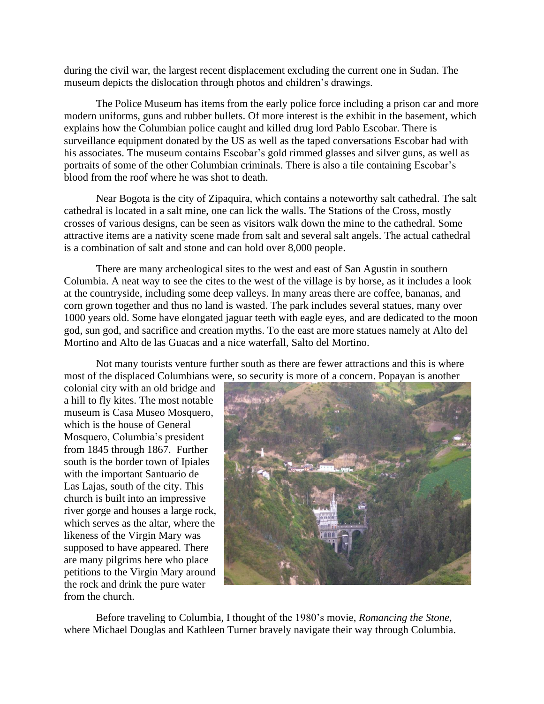during the civil war, the largest recent displacement excluding the current one in Sudan. The museum depicts the dislocation through photos and children's drawings.

The Police Museum has items from the early police force including a prison car and more modern uniforms, guns and rubber bullets. Of more interest is the exhibit in the basement, which explains how the Columbian police caught and killed drug lord Pablo Escobar. There is surveillance equipment donated by the US as well as the taped conversations Escobar had with his associates. The museum contains Escobar's gold rimmed glasses and silver guns, as well as portraits of some of the other Columbian criminals. There is also a tile containing Escobar's blood from the roof where he was shot to death.

Near Bogota is the city of Zipaquira, which contains a noteworthy salt cathedral. The salt cathedral is located in a salt mine, one can lick the walls. The Stations of the Cross, mostly crosses of various designs, can be seen as visitors walk down the mine to the cathedral. Some attractive items are a nativity scene made from salt and several salt angels. The actual cathedral is a combination of salt and stone and can hold over 8,000 people.

There are many archeological sites to the west and east of San Agustin in southern Columbia. A neat way to see the cites to the west of the village is by horse, as it includes a look at the countryside, including some deep valleys. In many areas there are coffee, bananas, and corn grown together and thus no land is wasted. The park includes several statues, many over 1000 years old. Some have elongated jaguar teeth with eagle eyes, and are dedicated to the moon god, sun god, and sacrifice and creation myths. To the east are more statues namely at Alto del Mortino and Alto de las Guacas and a nice waterfall, Salto del Mortino.

Not many tourists venture further south as there are fewer attractions and this is where most of the displaced Columbians were, so security is more of a concern. Popayan is another

colonial city with an old bridge and a hill to fly kites. The most notable museum is Casa Museo Mosquero, which is the house of General Mosquero, Columbia's president from 1845 through 1867. Further south is the border town of Ipiales with the important Santuario de Las Lajas, south of the city. This church is built into an impressive river gorge and houses a large rock, which serves as the altar, where the likeness of the Virgin Mary was supposed to have appeared. There are many pilgrims here who place petitions to the Virgin Mary around the rock and drink the pure water from the church.



Before traveling to Columbia, I thought of the 1980's movie, *Romancing the Stone*, where Michael Douglas and Kathleen Turner bravely navigate their way through Columbia.